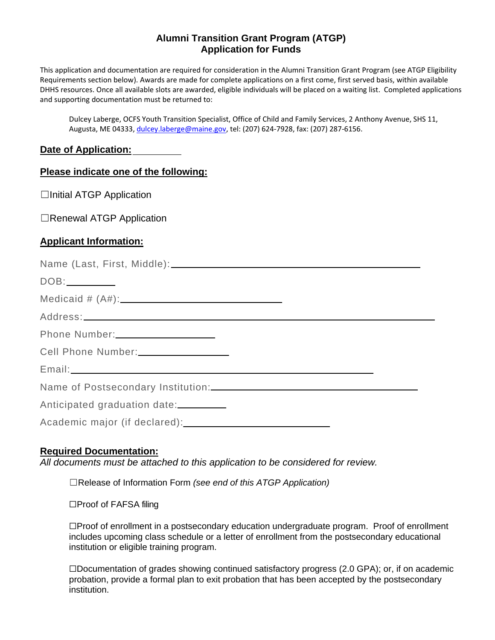### **Alumni Transition Grant Program (ATGP) Application for Funds**

This application and documentation are required for consideration in the Alumni Transition Grant Program (see ATGP Eligibility Requirements section below). Awards are made for complete applications on a first come, first served basis, within available DHHS resources. Once all available slots are awarded, eligible individuals will be placed on a waiting list. Completed applications and supporting documentation must be returned to:

Dulcey Laberge, OCFS Youth Transition Specialist, Office of Child and Family Services, 2 Anthony Avenue, SHS 11, Augusta, ME 04333, dulcey.laberge@maine.gov, tel: (207) 624‐7928, fax: (207) 287‐6156.

### **Date of Application:**

#### **Please indicate one of the following:**

 $\Box$ Initial ATGP Application

□Renewal ATGP Application

### **Applicant Information:**

| Name (Last, First, Middle): \\\esp \\esp \\esp \\esp \\esp \\esp \\esp \\esp \\esp \\esp \\esp \\esp \\esp \\esp \\esp \\esp \\esp \\esp \\esp \\esp \\esp \\esp \\esp \\esp \\esp \\esp \\esp \\esp \\esp \\esp \\esp \\esp \ |  |
|--------------------------------------------------------------------------------------------------------------------------------------------------------------------------------------------------------------------------------|--|
| DOB:_________                                                                                                                                                                                                                  |  |
|                                                                                                                                                                                                                                |  |
|                                                                                                                                                                                                                                |  |
|                                                                                                                                                                                                                                |  |
| Cell Phone Number: _________________                                                                                                                                                                                           |  |
|                                                                                                                                                                                                                                |  |
|                                                                                                                                                                                                                                |  |
| Anticipated graduation date:                                                                                                                                                                                                   |  |
|                                                                                                                                                                                                                                |  |
|                                                                                                                                                                                                                                |  |

#### **Required Documentation:**

*All documents must be attached to this application to be considered for review.* 

☐Release of Information Form *(see end of this ATGP Application)*

☐Proof of FAFSA filing

☐Proof of enrollment in a postsecondary education undergraduate program. Proof of enrollment includes upcoming class schedule or a letter of enrollment from the postsecondary educational institution or eligible training program.

☐Documentation of grades showing continued satisfactory progress (2.0 GPA); or, if on academic probation, provide a formal plan to exit probation that has been accepted by the postsecondary institution.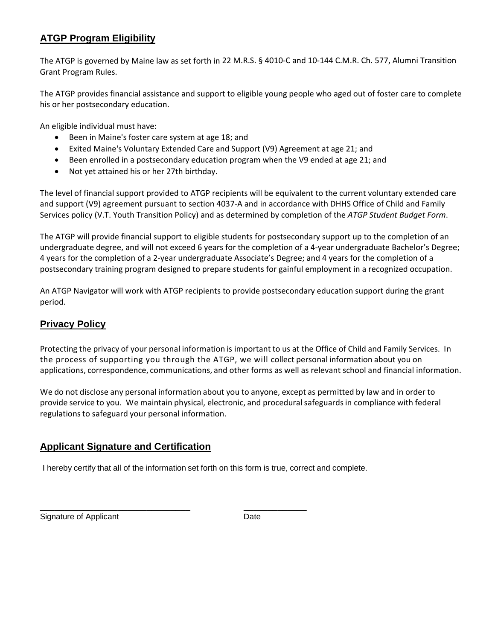# **ATGP Program Eligibility**

The ATGP is governed by Maine law as set forth in 22 M.R.S. § 4010‐C and 10‐144 C.M.R. Ch. 577, Alumni Transition Grant Program Rules.

The ATGP provides financial assistance and support to eligible young people who aged out of foster care to complete his or her postsecondary education.

An eligible individual must have:

- Been in Maine's foster care system at age 18; and
- Exited Maine's Voluntary Extended Care and Support (V9) Agreement at age 21; and
- Been enrolled in a postsecondary education program when the V9 ended at age 21; and
- Not yet attained his or her 27th birthday.

The level of financial support provided to ATGP recipients will be equivalent to the current voluntary extended care and support (V9) agreement pursuant to section 4037-A and in accordance with DHHS Office of Child and Family Services policy (V.T. Youth Transition Policy) and as determined by completion of the *ATGP Student Budget Form*.

The ATGP will provide financial support to eligible students for postsecondary support up to the completion of an undergraduate degree, and will not exceed 6 years for the completion of a 4‐year undergraduate Bachelor's Degree; 4 years for the completion of a 2‐year undergraduate Associate's Degree; and 4 years for the completion of a postsecondary training program designed to prepare students for gainful employment in a recognized occupation.

An ATGP Navigator will work with ATGP recipients to provide postsecondary education support during the grant period.

# **Privacy Policy**

Protecting the privacy of your personal information is important to us at the Office of Child and Family Services. In the process of supporting you through the ATGP, we will collect personal information about you on applications, correspondence, communications, and other forms as well as relevant school and financial information.

We do not disclose any personal information about you to anyone, except as permitted by law and in order to provide service to you. We maintain physical, electronic, and proceduralsafeguardsin compliance with federal regulations to safeguard your personal information.

## **Applicant Signature and Certification**

I hereby certify that all of the information set forth on this form is true, correct and complete.

Signature of Applicant Date Date

\_\_\_\_\_\_\_\_\_\_\_\_\_\_\_\_\_\_\_\_\_\_\_\_\_\_\_\_\_\_\_ \_\_\_\_\_\_\_\_\_\_\_\_\_